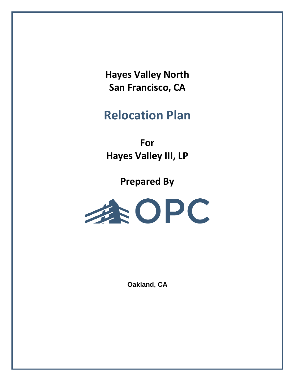**Hayes Valley North San Francisco, CA**

# **Relocation Plan**

**For Hayes Valley III, LP**

**Prepared By**



**Oakland, CA**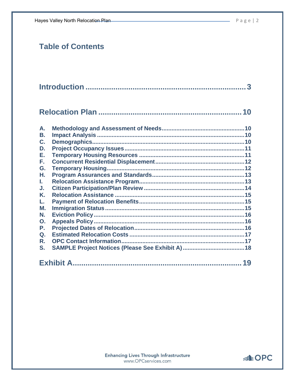|                                  | 10 |
|----------------------------------|----|
| A.                               |    |
| В.                               |    |
| C.                               |    |
| D.                               |    |
| Е.                               |    |
| F.                               |    |
| G.                               |    |
| Н.                               |    |
| L.                               |    |
| J.                               |    |
| K.                               |    |
| L.                               |    |
| М.                               |    |
| N.                               |    |
| $\mathbf{O}$ .<br>$\mathsf{P}$ . |    |
| $Q_{\cdot}$                      |    |
| R.                               |    |
| S.                               |    |
|                                  |    |

|--|

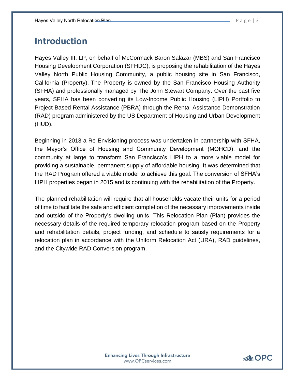# <span id="page-2-0"></span>**Introduction**

Hayes Valley III, LP, on behalf of McCormack Baron Salazar (MBS) and San Francisco Housing Development Corporation (SFHDC), is proposing the rehabilitation of the Hayes Valley North Public Housing Community, a public housing site in San Francisco, California (Property). The Property is owned by the San Francisco Housing Authority (SFHA) and professionally managed by The John Stewart Company. Over the past five years, SFHA has been converting its Low-Income Public Housing (LIPH) Portfolio to Project Based Rental Assistance (PBRA) through the Rental Assistance Demonstration (RAD) program administered by the US Department of Housing and Urban Development (HUD).

Beginning in 2013 a Re-Envisioning process was undertaken in partnership with SFHA, the Mayor's Office of Housing and Community Development (MOHCD), and the community at large to transform San Francisco's LIPH to a more viable model for providing a sustainable, permanent supply of affordable housing. It was determined that the RAD Program offered a viable model to achieve this goal. The conversion of SFHA's LIPH properties began in 2015 and is continuing with the rehabilitation of the Property.

The planned rehabilitation will require that all households vacate their units for a period of time to facilitate the safe and efficient completion of the necessary improvements inside and outside of the Property's dwelling units. This Relocation Plan (Plan) provides the necessary details of the required temporary relocation program based on the Property and rehabilitation details, project funding, and schedule to satisfy requirements for a relocation plan in accordance with the Uniform Relocation Act (URA), RAD guidelines, and the Citywide RAD Conversion program.

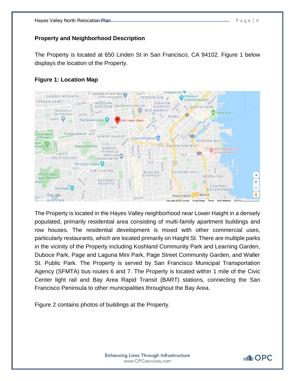#### **Property and Neighborhood Description**

The Property is located at 650 Linden St in San Francisco, CA 94102. Figure 1 below displays the location of the Property.

# **Figure 1: Location Map**



The Property is located in the Hayes Valley neighborhood near Lower Haight in a densely populated, primarily residential area consisting of multi-family apartment buildings and row houses. The residential development is mixed with other commercial uses, particularly restaurants, which are located primarily on Haight St. There are multiple parks in the vicinity of the Property including Koshland Community Park and Learning Garden, Duboce Park, Page and Laguna Mini Park, Page Street Community Garden, and Waller St. Public Park. The Property is served by San Francisco Municipal Transportation Agency (SFMTA) bus routes 6 and 7. The Property is located within 1 mile of the Civic Center light rail and Bay Area Rapid Transit (BART) stations, connecting the San Francisco Peninsula to other municipalities throughout the Bay Area.

Figure 2 contains photos of buildings at the Property.

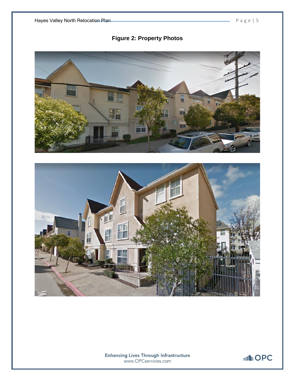



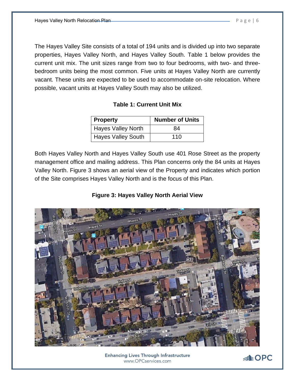The Hayes Valley Site consists of a total of 194 units and is divided up into two separate properties, Hayes Valley North, and Hayes Valley South. Table 1 below provides the current unit mix. The unit sizes range from two to four bedrooms, with two- and threebedroom units being the most common. Five units at Hayes Valley North are currently vacant. These units are expected to be used to accommodate on-site relocation. Where possible, vacant units at Hayes Valley South may also be utilized.

## **Table 1: Current Unit Mix**

| <b>Property</b>           | <b>Number of Units</b> |
|---------------------------|------------------------|
| <b>Hayes Valley North</b> | 84                     |
| <b>Hayes Valley South</b> | 110                    |

Both Hayes Valley North and Hayes Valley South use 401 Rose Street as the property management office and mailing address. This Plan concerns only the 84 units at Hayes Valley North. Figure 3 shows an aerial view of the Property and indicates which portion of the Site comprises Hayes Valley North and is the focus of this Plan.

# **Figure 3: Hayes Valley North Aerial View**



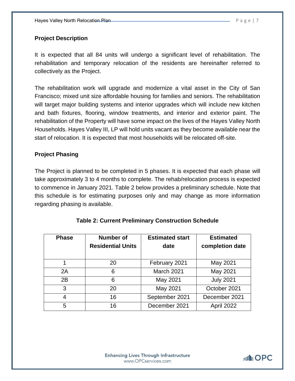# **Project Description**

It is expected that all 84 units will undergo a significant level of rehabilitation. The rehabilitation and temporary relocation of the residents are hereinafter referred to collectively as the Project.

The rehabilitation work will upgrade and modernize a vital asset in the City of San Francisco; mixed unit size affordable housing for families and seniors. The rehabilitation will target major building systems and interior upgrades which will include new kitchen and bath fixtures, flooring, window treatments, and interior and exterior paint. The rehabilitation of the Property will have some impact on the lives of the Hayes Valley North Households. Hayes Valley III, LP will hold units vacant as they become available near the start of relocation. It is expected that most households will be relocated off-site.

# **Project Phasing**

The Project is planned to be completed in 5 phases. It is expected that each phase will take approximately 3 to 4 months to complete. The rehab/relocation process is expected to commence in January 2021. Table 2 below provides a preliminary schedule. Note that this schedule is for estimating purposes only and may change as more information regarding phasing is available.

| <b>Phase</b> | Number of<br><b>Residential Units</b> | <b>Estimated start</b><br>date | <b>Estimated</b><br>completion date |
|--------------|---------------------------------------|--------------------------------|-------------------------------------|
|              | 20                                    | February 2021                  | May 2021                            |
| 2A           | 6                                     | March 2021                     | May 2021                            |
| 2B           | 6                                     | May 2021                       | <b>July 2021</b>                    |
| 3            | 20                                    | May 2021                       | October 2021                        |
| 4            | 16                                    | September 2021                 | December 2021                       |
| 5            | 16                                    | December 2021                  | April 2022                          |

# **Table 2: Current Preliminary Construction Schedule**

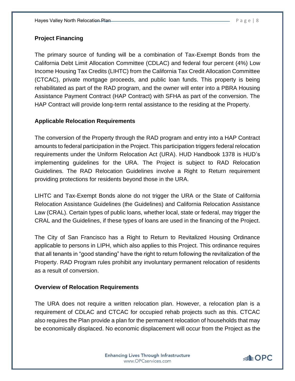# **Project Financing**

The primary source of funding will be a combination of Tax-Exempt Bonds from the California Debt Limit Allocation Committee (CDLAC) and federal four percent (4%) Low Income Housing Tax Credits (LIHTC) from the California Tax Credit Allocation Committee (CTCAC), private mortgage proceeds, and public loan funds. This property is being rehabilitated as part of the RAD program, and the owner will enter into a PBRA Housing Assistance Payment Contract (HAP Contract) with SFHA as part of the conversion. The HAP Contract will provide long-term rental assistance to the residing at the Property.

## **Applicable Relocation Requirements**

The conversion of the Property through the RAD program and entry into a HAP Contract amounts to federal participation in the Project. This participation triggers federal relocation requirements under the Uniform Relocation Act (URA). HUD Handbook 1378 is HUD's implementing guidelines for the URA. The Project is subject to RAD Relocation Guidelines. The RAD Relocation Guidelines involve a Right to Return requirement providing protections for residents beyond those in the URA.

LIHTC and Tax-Exempt Bonds alone do not trigger the URA or the State of California Relocation Assistance Guidelines (the Guidelines) and California Relocation Assistance Law (CRAL). Certain types of public loans, whether local, state or federal, may trigger the CRAL and the Guidelines, if these types of loans are used in the financing of the Project.

The City of San Francisco has a Right to Return to Revitalized Housing Ordinance applicable to persons in LIPH, which also applies to this Project. This ordinance requires that all tenants in "good standing" have the right to return following the revitalization of the Property. RAD Program rules prohibit any involuntary permanent relocation of residents as a result of conversion.

## **Overview of Relocation Requirements**

The URA does not require a written relocation plan. However, a relocation plan is a requirement of CDLAC and CTCAC for occupied rehab projects such as this. CTCAC also requires the Plan provide a plan for the permanent relocation of households that may be economically displaced. No economic displacement will occur from the Project as the

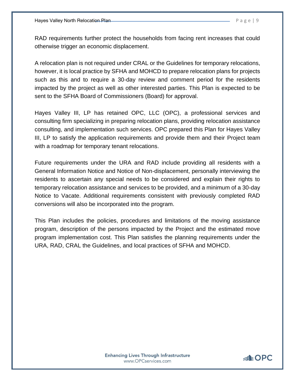RAD requirements further protect the households from facing rent increases that could otherwise trigger an economic displacement.

A relocation plan is not required under CRAL or the Guidelines for temporary relocations, however, it is local practice by SFHA and MOHCD to prepare relocation plans for projects such as this and to require a 30-day review and comment period for the residents impacted by the project as well as other interested parties. This Plan is expected to be sent to the SFHA Board of Commissioners (Board) for approval.

Hayes Valley III, LP has retained OPC, LLC (OPC), a professional services and consulting firm specializing in preparing relocation plans, providing relocation assistance consulting, and implementation such services. OPC prepared this Plan for Hayes Valley III, LP to satisfy the application requirements and provide them and their Project team with a roadmap for temporary tenant relocations.

Future requirements under the URA and RAD include providing all residents with a General Information Notice and Notice of Non-displacement, personally interviewing the residents to ascertain any special needs to be considered and explain their rights to temporary relocation assistance and services to be provided, and a minimum of a 30-day Notice to Vacate. Additional requirements consistent with previously completed RAD conversions will also be incorporated into the program.

This Plan includes the policies, procedures and limitations of the moving assistance program, description of the persons impacted by the Project and the estimated move program implementation cost. This Plan satisfies the planning requirements under the URA, RAD, CRAL the Guidelines, and local practices of SFHA and MOHCD.

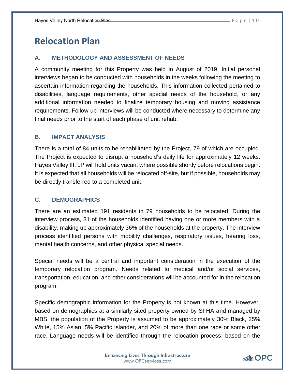# <span id="page-9-0"></span>**Relocation Plan**

#### <span id="page-9-1"></span>**A. METHODOLOGY AND ASSESSMENT OF NEEDS**

A community meeting for this Property was held in August of 2019. Initial personal interviews began to be conducted with households in the weeks following the meeting to ascertain information regarding the households. This information collected pertained to disabilities, language requirements, other special needs of the household, or any additional information needed to finalize temporary housing and moving assistance requirements. Follow-up interviews will be conducted where necessary to determine any final needs prior to the start of each phase of unit rehab.

#### <span id="page-9-2"></span>**B. IMPACT ANALYSIS**

There is a total of 84 units to be rehabilitated by the Project, 79 of which are occupied. The Project is expected to disrupt a household's daily life for approximately 12 weeks. Hayes Valley III, LP will hold units vacant where possible shortly before relocations begin. It is expected that all households will be relocated off-site, but if possible, households may be directly transferred to a completed unit.

#### <span id="page-9-3"></span>**C. DEMOGRAPHICS**

There are an estimated 191 residents in 79 households to be relocated. During the interview process, 31 of the households identified having one or more members with a disability, making up approximately 36% of the households at the property. The interview process identified persons with mobility challenges, respiratory issues, hearing loss, mental health concerns, and other physical special needs.

Special needs will be a central and important consideration in the execution of the temporary relocation program. Needs related to medical and/or social services, transportation, education, and other considerations will be accounted for in the relocation program.

Specific demographic information for the Property is not known at this time. However, based on demographics at a similarly sited property owned by SFHA and managed by MBS, the population of the Property is assumed to be approximately 30% Black, 25% White, 15% Asian, 5% Pacific Islander, and 20% of more than one race or some other race. Language needs will be identified through the relocation process; based on the

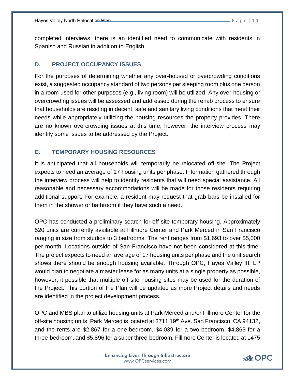completed interviews, there is an identified need to communicate with residents in Spanish and Russian in addition to English.

# <span id="page-10-0"></span>**D. PROJECT OCCUPANCY ISSUES**

For the purposes of determining whether any over-housed or overcrowding conditions exist, a suggested occupancy standard of two persons per sleeping room plus one person in a room used for other purposes (e.g., living room) will be utilized. Any over-housing or overcrowding issues will be assessed and addressed during the rehab process to ensure that households are residing in decent, safe and sanitary living conditions that meet their needs while appropriately utilizing the housing resources the property provides. There are no known overcrowding issues at this time, however, the interview process may identify some issues to be addressed by the Project.

# <span id="page-10-1"></span>**E. TEMPORARY HOUSING RESOURCES**

It is anticipated that all households will temporarily be relocated off-site. The Project expects to need an average of 17 housing units per phase. Information gathered through the interview process will help to identify residents that will need special assistance. All reasonable and necessary accommodations will be made for those residents requiring additional support. For example, a resident may request that grab bars be installed for them in the shower or bathroom if they have such a need.

OPC has conducted a preliminary search for off-site temporary housing. Approximately 520 units are currently available at Fillmore Center and Park Merced in San Francisco ranging in size from studios to 3 bedrooms. The rent ranges from \$1,693 to over \$5,000 per month. Locations outside of San Francisco have not been considered at this time. The project expects to need an average of 17 housing units per phase and the unit search shows there should be enough housing available. Through OPC, Hayes Valley III, LP would plan to negotiate a master lease for as many units at a single property as possible, however, it possible that multiple off-site housing sites may be used for the duration of the Project. This portion of the Plan will be updated as more Project details and needs are identified in the project development process.

OPC and MBS plan to utilize housing units at Park Merced and/or Fillmore Center for the off-site housing units. Park Merced is located at 3711 19<sup>th</sup> Ave. San Francisco, CA 94132, and the rents are \$2,867 for a one-bedroom, \$4,039 for a two-bedroom, \$4,863 for a three-bedroom, and \$5,896 for a super three-bedroom. Fillmore Center is located at 1475

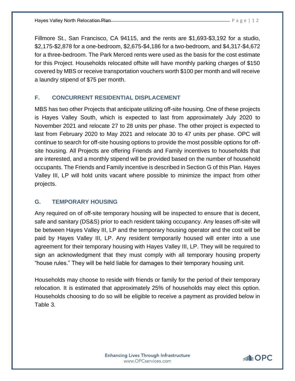Fillmore St., San Francisco, CA 94115, and the rents are \$1,693-\$3,192 for a studio, \$2,175-\$2,878 for a one-bedroom, \$2,675-\$4,186 for a two-bedroom, and \$4,317-\$4,672 for a three-bedroom. The Park Merced rents were used as the basis for the cost estimate for this Project. Households relocated offsite will have monthly parking charges of \$150 covered by MBS or receive transportation vouchers worth \$100 per month and will receive a laundry stipend of \$75 per month.

#### <span id="page-11-0"></span>**F. CONCURRENT RESIDENTIAL DISPLACEMENT**

MBS has two other Projects that anticipate utilizing off-site housing. One of these projects is Hayes Valley South, which is expected to last from approximately July 2020 to November 2021 and relocate 27 to 28 units per phase. The other project is expected to last from February 2020 to May 2021 and relocate 30 to 47 units per phase. OPC will continue to search for off-site housing options to provide the most possible options for offsite housing. All Projects are offering Friends and Family incentives to households that are interested, and a monthly stipend will be provided based on the number of household occupants. The Friends and Family incentive is described in Section G of this Plan. Hayes Valley III, LP will hold units vacant where possible to minimize the impact from other projects.

#### <span id="page-11-1"></span>**G. TEMPORARY HOUSING**

Any required on of off-site temporary housing will be inspected to ensure that is decent, safe and sanitary (DS&S) prior to each resident taking occupancy. Any leases off-site will be between Hayes Valley III, LP and the temporary housing operator and the cost will be paid by Hayes Valley III, LP. Any resident temporarily housed will enter into a use agreement for their temporary housing with Hayes Valley III, LP. They will be required to sign an acknowledgment that they must comply with all temporary housing property "house rules." They will be held liable for damages to their temporary housing unit.

Households may choose to reside with friends or family for the period of their temporary relocation. It is estimated that approximately 25% of households may elect this option. Households choosing to do so will be eligible to receive a payment as provided below in Table 3.

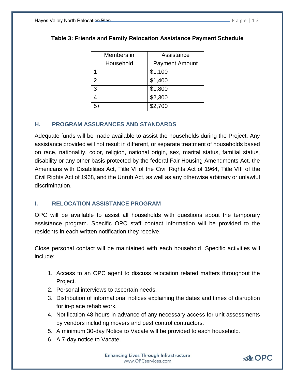| Members in | Assistance            |
|------------|-----------------------|
| Household  | <b>Payment Amount</b> |
|            | \$1,100               |
| 2          | \$1,400               |
| 3          | \$1,800               |
| 4          | \$2,300               |
|            | \$2,700               |

# **Table 3: Friends and Family Relocation Assistance Payment Schedule**

# <span id="page-12-0"></span>**H. PROGRAM ASSURANCES AND STANDARDS**

Adequate funds will be made available to assist the households during the Project. Any assistance provided will not result in different, or separate treatment of households based on race, nationality, color, religion, national origin, sex, marital status, familial status, disability or any other basis protected by the federal Fair Housing Amendments Act, the Americans with Disabilities Act, Title VI of the Civil Rights Act of 1964, Title VIII of the Civil Rights Act of 1968, and the Unruh Act, as well as any otherwise arbitrary or unlawful discrimination.

# <span id="page-12-1"></span>**I. RELOCATION ASSISTANCE PROGRAM**

OPC will be available to assist all households with questions about the temporary assistance program. Specific OPC staff contact information will be provided to the residents in each written notification they receive.

Close personal contact will be maintained with each household. Specific activities will include:

- 1. Access to an OPC agent to discuss relocation related matters throughout the Project.
- 2. Personal interviews to ascertain needs.
- 3. Distribution of informational notices explaining the dates and times of disruption for in-place rehab work.
- 4. Notification 48-hours in advance of any necessary access for unit assessments by vendors including movers and pest control contractors.
- 5. A minimum 30-day Notice to Vacate will be provided to each household.
- 6. A 7-day notice to Vacate.

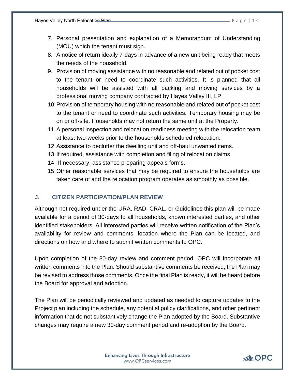- 7. Personal presentation and explanation of a Memorandum of Understanding (MOU) which the tenant must sign.
- 8. A notice of return ideally 7-days in advance of a new unit being ready that meets the needs of the household.
- 9. Provision of moving assistance with no reasonable and related out of pocket cost to the tenant or need to coordinate such activities. It is planned that all households will be assisted with all packing and moving services by a professional moving company contracted by Hayes Valley III, LP.
- 10.Provision of temporary housing with no reasonable and related out of pocket cost to the tenant or need to coordinate such activities. Temporary housing may be on or off-site. Households may not return the same unit at the Property.
- 11.A personal inspection and relocation readiness meeting with the relocation team at least two-weeks prior to the households scheduled relocation.
- 12.Assistance to declutter the dwelling unit and off-haul unwanted items.
- 13.If required, assistance with completion and filing of relocation claims.
- 14. If necessary, assistance preparing appeals forms.
- 15.Other reasonable services that may be required to ensure the households are taken care of and the relocation program operates as smoothly as possible.

#### <span id="page-13-0"></span>**J. CITIZEN PARTICIPATION/PLAN REVIEW**

Although not required under the URA, RAD, CRAL, or Guidelines this plan will be made available for a period of 30-days to all households, known interested parties, and other identified stakeholders. All interested parties will receive written notification of the Plan's availability for review and comments, location where the Plan can be located, and directions on how and where to submit written comments to OPC.

Upon completion of the 30-day review and comment period, OPC will incorporate all written comments into the Plan. Should substantive comments be received, the Plan may be revised to address those comments. Once the final Plan is ready, it will be heard before the Board for approval and adoption.

The Plan will be periodically reviewed and updated as needed to capture updates to the Project plan including the schedule, any potential policy clarifications, and other pertinent information that do not substantively change the Plan adopted by the Board. Substantive changes may require a new 30-day comment period and re-adoption by the Board.

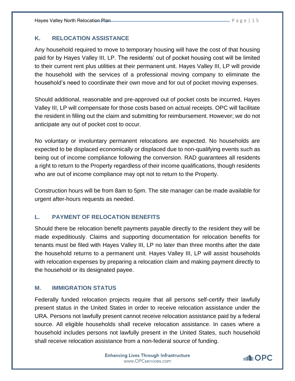# <span id="page-14-0"></span>**K. RELOCATION ASSISTANCE**

Any household required to move to temporary housing will have the cost of that housing paid for by Hayes Valley III, LP. The residents' out of pocket housing cost will be limited to their current rent plus utilities at their permanent unit. Hayes Valley III, LP will provide the household with the services of a professional moving company to eliminate the household's need to coordinate their own move and for out of pocket moving expenses.

Should additional, reasonable and pre-approved out of pocket costs be incurred, Hayes Valley III, LP will compensate for those costs based on actual receipts. OPC will facilitate the resident in filling out the claim and submitting for reimbursement. However; we do not anticipate any out of pocket cost to occur.

No voluntary or involuntary permanent relocations are expected. No households are expected to be displaced economically or displaced due to non-qualifying events such as being out of income compliance following the conversion. RAD guarantees all residents a right to return to the Property regardless of their income qualifications, though residents who are out of income compliance may opt not to return to the Property.

Construction hours will be from 8am to 5pm. The site manager can be made available for urgent after-hours requests as needed.

# <span id="page-14-1"></span>**L. PAYMENT OF RELOCATION BENEFITS**

Should there be relocation benefit payments payable directly to the resident they will be made expeditiously. Claims and supporting documentation for relocation benefits for tenants must be filed with Hayes Valley III, LP no later than three months after the date the household returns to a permanent unit. Hayes Valley III, LP will assist households with relocation expenses by preparing a relocation claim and making payment directly to the household or its designated payee.

# <span id="page-14-2"></span>**M. IMMIGRATION STATUS**

Federally funded relocation projects require that all persons self-certify their lawfully present status in the United States in order to receive relocation assistance under the URA. Persons not lawfully present cannot receive relocation assistance paid by a federal source. All eligible households shall receive relocation assistance. In cases where a household includes persons not lawfully present in the United States, such household shall receive relocation assistance from a non-federal source of funding.

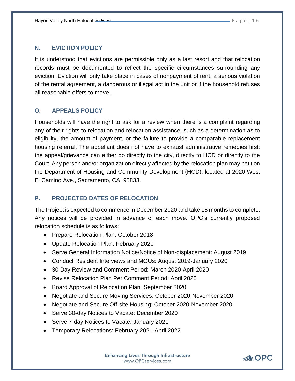# <span id="page-15-0"></span>**N. EVICTION POLICY**

It is understood that evictions are permissible only as a last resort and that relocation records must be documented to reflect the specific circumstances surrounding any eviction. Eviction will only take place in cases of nonpayment of rent, a serious violation of the rental agreement, a dangerous or illegal act in the unit or if the household refuses all reasonable offers to move.

# <span id="page-15-1"></span>**O. APPEALS POLICY**

Households will have the right to ask for a review when there is a complaint regarding any of their rights to relocation and relocation assistance, such as a determination as to eligibility, the amount of payment, or the failure to provide a comparable replacement housing referral. The appellant does not have to exhaust administrative remedies first; the appeal/grievance can either go directly to the city, directly to HCD or directly to the Court. Any person and/or organization directly affected by the relocation plan may petition the Department of Housing and Community Development (HCD), located at 2020 West El Camino Ave., Sacramento, CA 95833.

## <span id="page-15-2"></span>**P. PROJECTED DATES OF RELOCATION**

The Project is expected to commence in December 2020 and take 15 months to complete. Any notices will be provided in advance of each move. OPC's currently proposed relocation schedule is as follows:

- Prepare Relocation Plan: October 2018
- Update Relocation Plan: February 2020
- Serve General Information Notice/Notice of Non-displacement: August 2019
- Conduct Resident Interviews and MOUs: August 2019-January 2020
- 30 Day Review and Comment Period: March 2020-April 2020
- Revise Relocation Plan Per Comment Period: April 2020
- Board Approval of Relocation Plan: September 2020
- Negotiate and Secure Moving Services: October 2020-November 2020
- Negotiate and Secure Off-site Housing: October 2020-November 2020
- Serve 30-day Notices to Vacate: December 2020
- Serve 7-day Notices to Vacate: January 2021
- Temporary Relocations: February 2021-April 2022

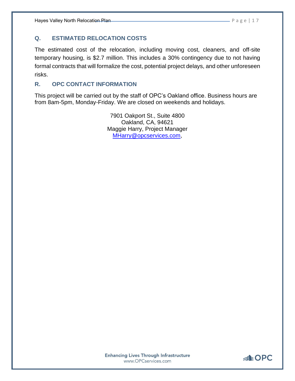# <span id="page-16-0"></span>**Q. ESTIMATED RELOCATION COSTS**

The estimated cost of the relocation, including moving cost, cleaners, and off-site temporary housing, is \$2.7 million. This includes a 30% contingency due to not having formal contracts that will formalize the cost, potential project delays, and other unforeseen risks.

# <span id="page-16-1"></span>**R. OPC CONTACT INFORMATION**

This project will be carried out by the staff of OPC's Oakland office. Business hours are from 8am-5pm, Monday-Friday. We are closed on weekends and holidays.

> 7901 Oakport St., Suite 4800 Oakland, CA, 94621 Maggie Harry, Project Manager [MHarry@opcservices.com,](mailto:MHarry@opcservices.com)

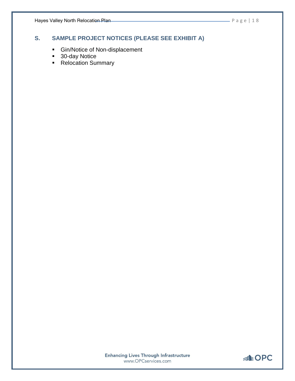# <span id="page-17-0"></span>**S. SAMPLE PROJECT NOTICES (PLEASE SEE EXHIBIT A)**

- **E** Gin/Notice of Non-displacement
- 30-day Notice
- Relocation Summary

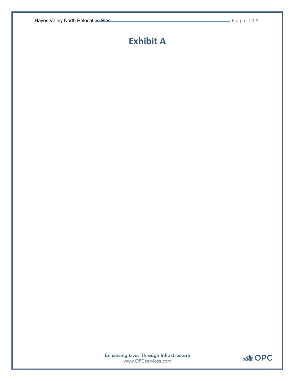# <span id="page-18-0"></span>**Exhibit A**

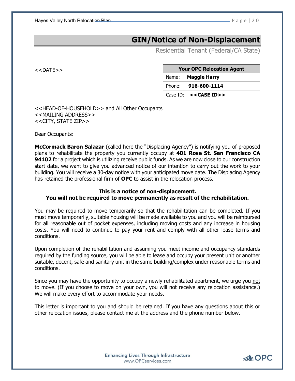Hayes Valley North Relocation Plan **Plan 2000 Contract Contract Contract P** a g e | 2 0

# **GIN/Notice of Non-Displacement**

Residential Tenant (Federal/CA State)

<<DATE>>

| <b>Your OPC Relocation Agent</b> |                                            |
|----------------------------------|--------------------------------------------|
|                                  | Name: Maggie Harry                         |
| Phone:                           | $ 916 - 600 - 1114 $                       |
|                                  | Case ID: $\vert$ < <case id="">&gt;</case> |

<<HEAD-OF-HOUSEHOLD>> and All Other Occupants <<MAILING ADDRESS>> <<CITY, STATE ZIP>>

Dear Occupants:

**McCormack Baron Salazar** (called here the "Displacing Agency") is notifying you of proposed plans to rehabilitate the property you currently occupy at **401 Rose St. San Francisco CA 94102** for a project which is utilizing receive public funds. As we are now close to our construction start date, we want to give you advanced notice of our intention to carry out the work to your building. You will receive a 30-day notice with your anticipated move date. The Displacing Agency has retained the professional firm of **OPC** to assist in the relocation process.

#### **This is a notice of non-displacement. You will not be required to move permanently as result of the rehabilitation.**

You may be required to move temporarily so that the rehabilitation can be completed. If you must move temporarily, suitable housing will be made available to you and you will be reimbursed for all reasonable out of pocket expenses, including moving costs and any increase in housing costs. You will need to continue to pay your rent and comply with all other lease terms and conditions.

Upon completion of the rehabilitation and assuming you meet income and occupancy standards required by the funding source, you will be able to lease and occupy your present unit or another suitable, decent, safe and sanitary unit in the same building/complex under reasonable terms and conditions.

Since you may have the opportunity to occupy a newly rehabilitated apartment, we urge you not to move. (If you choose to move on your own, you will not receive any relocation assistance.) We will make every effort to accommodate your needs.

This letter is important to you and should be retained. If you have any questions about this or other relocation issues, please contact me at the address and the phone number below.

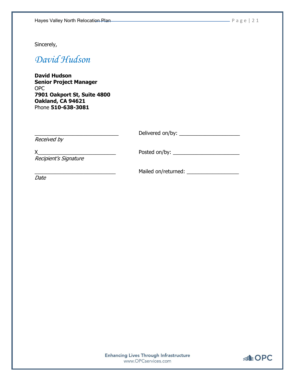Sincerely,

# *David Hudson*

**David Hudson Senior Project Manager** OPC **7901 Oakport St, Suite 4800 Oakland, CA 94621**  Phone **510-638-3081**

| Received by           | Delivered on/by:    |
|-----------------------|---------------------|
| Recipient's Signature | Posted on/by:       |
|                       | Mailed on/returned: |

Date

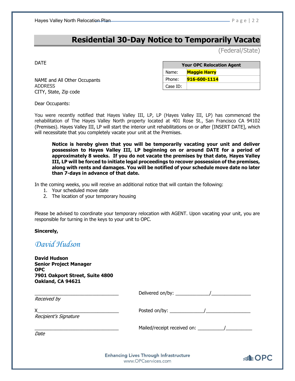# **Residential 30-Day Notice to Temporarily Vacate**

(Federal/State)

DATE

| <b>Your OPC Relocation Agent</b> |                     |  |
|----------------------------------|---------------------|--|
| Name:                            | <b>Maggie Harry</b> |  |
| Phone:                           | 916-600-1114        |  |
| Case ID:                         |                     |  |

NAME and All Other Occupants ADDRESS CITY, State, Zip code

Dear Occupants:

You were recently notified that Hayes Valley III, LP, LP (Hayes Valley III, LP) has commenced the rehabilitation of The Hayes Valley North property located at 401 Rose St., San Francisco CA 94102 (Premises). Hayes Valley III, LP will start the interior unit rehabilitations on or after [INSERT DATE], which will necessitate that you completely vacate your unit at the Premises.

**Notice is hereby given that you will be temporarily vacating your unit and deliver possession to Hayes Valley III, LP beginning on or around DATE for a period of approximately 8 weeks. If you do not vacate the premises by that date, Hayes Valley III, LP will be forced to initiate legal proceedings to recover possession of the premises, along with rents and damages. You will be notified of your schedule move date no later than 7-days in advance of that date.**

In the coming weeks, you will receive an additional notice that will contain the following:

- 1. Your scheduled move date
- 2. The location of your temporary housing

Please be advised to coordinate your temporary relocation with AGENT. Upon vacating your unit, you are responsible for turning in the keys to your unit to OPC.

**Sincerely,**

*David Hudson*

**David Hudson Senior Project Manager OPC 7901 Oakport Street, Suite 4800 Oakland, CA 94621**

\_\_\_\_\_\_\_\_\_\_\_\_\_\_\_\_\_\_\_\_\_\_\_\_\_\_\_\_\_\_\_\_ Delivered on/by: \_\_\_\_\_\_\_\_\_\_\_\_\_/\_\_\_\_\_\_\_\_\_\_\_\_\_\_\_

Received by

X end on the posted on the control of the posted on the control of the control of the control of the control of the control of the control of the control of the control of the control of the control of the control of the c Recipient's Signature

Mailed/receipt received on: \_\_\_\_\_\_\_\_\_\_\_\_\_/\_\_\_\_\_\_\_\_\_

Date

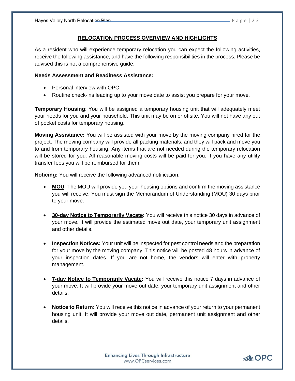#### **RELOCATION PROCESS OVERVIEW AND HIGHLIGHTS**

As a resident who will experience temporary relocation you can expect the following activities, receive the following assistance, and have the following responsibilities in the process. Please be advised this is not a comprehensive guide.

#### **Needs Assessment and Readiness Assistance:**

- Personal interview with OPC.
- Routine check-ins leading up to your move date to assist you prepare for your move.

**Temporary Housing**: You will be assigned a temporary housing unit that will adequately meet your needs for you and your household. This unit may be on or offsite. You will not have any out of pocket costs for temporary housing.

**Moving Assistance:** You will be assisted with your move by the moving company hired for the project. The moving company will provide all packing materials, and they will pack and move you to and from temporary housing. Any items that are not needed during the temporary relocation will be stored for you. All reasonable moving costs will be paid for you. If you have any utility transfer fees you will be reimbursed for them.

**Noticing:** You will receive the following advanced notification.

- **MOU**: The MOU will provide you your housing options and confirm the moving assistance you will receive. You must sign the Memorandum of Understanding (MOU) 30 days prior to your move.
- **30-day Notice to Temporarily Vacate:** You will receive this notice 30 days in advance of your move. It will provide the estimated move out date, your temporary unit assignment and other details.
- **Inspection Notices:** Your unit will be inspected for pest control needs and the preparation for your move by the moving company. This notice will be posted 48 hours in advance of your inspection dates. If you are not home, the vendors will enter with property management.
- **7-day Notice to Temporarily Vacate:** You will receive this notice 7 days in advance of your move. It will provide your move out date, your temporary unit assignment and other details.
- **Notice to Return:** You will receive this notice in advance of your return to your permanent housing unit. It will provide your move out date, permanent unit assignment and other details.